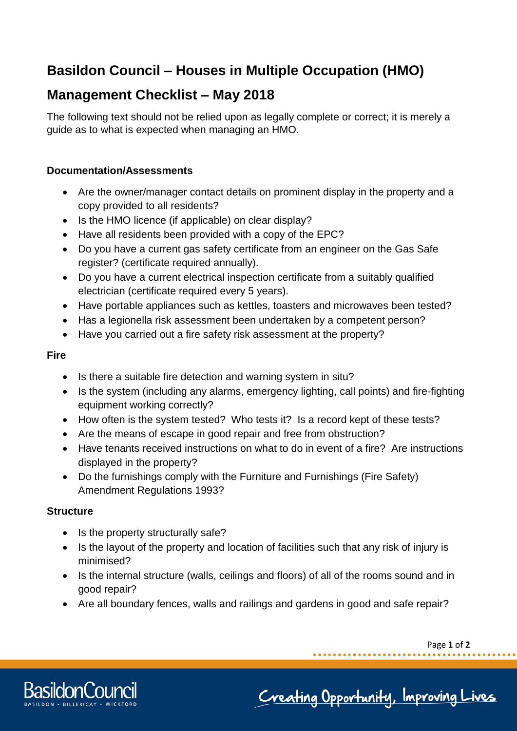# **Basildon Council – Houses in Multiple Occupation (HMO)**

# **Management Checklist – May 2018**

The following text should not be relied upon as legally complete or correct; it is merely a guide as to what is expected when managing an HMO.

### **Documentation/Assessments**

- Are the owner/manager contact details on prominent display in the property and a copy provided to all residents?
- Is the HMO licence (if applicable) on clear display?
- Have all residents been provided with a copy of the EPC?
- Do you have a current gas safety certificate from an engineer on the Gas Safe register? (certificate required annually).
- Do you have a current electrical inspection certificate from a suitably qualified electrician (certificate required every 5 years).
- Have portable appliances such as kettles, toasters and microwaves been tested?
- Has a legionella risk assessment been undertaken by a competent person?
- Have you carried out a fire safety risk assessment at the property?

### **Fire**

- Is there a suitable fire detection and warning system in situ?
- Is the system (including any alarms, emergency lighting, call points) and fire-fighting equipment working correctly?
- How often is the system tested? Who tests it? Is a record kept of these tests?
- Are the means of escape in good repair and free from obstruction?
- Have tenants received instructions on what to do in event of a fire? Are instructions displayed in the property?
- Do the furnishings comply with the Furniture and Furnishings (Fire Safety) Amendment Regulations 1993?

## **Structure**

- Is the property structurally safe?
- Is the layout of the property and location of facilities such that any risk of injury is minimised?
- Is the internal structure (walls, ceilings and floors) of all of the rooms sound and in good repair?
- Are all boundary fences, walls and railings and gardens in good and safe repair?

Page **1** of **2**



Creating Opportunity, Improving Lives